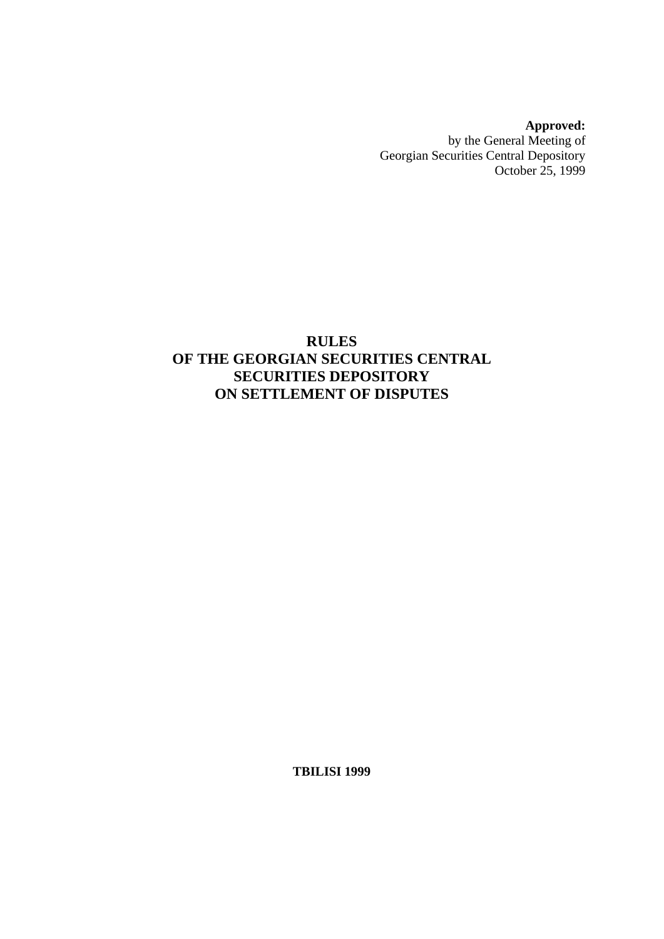**Approved:**  by the General Meeting of Georgian Securities Central Depository October 25, 1999

# **RULES OF THE GEORGIAN SECURITIES CENTRAL SECURITIES DEPOSITORY ON SETTLEMENT OF DISPUTES**

**TBILISI 1999**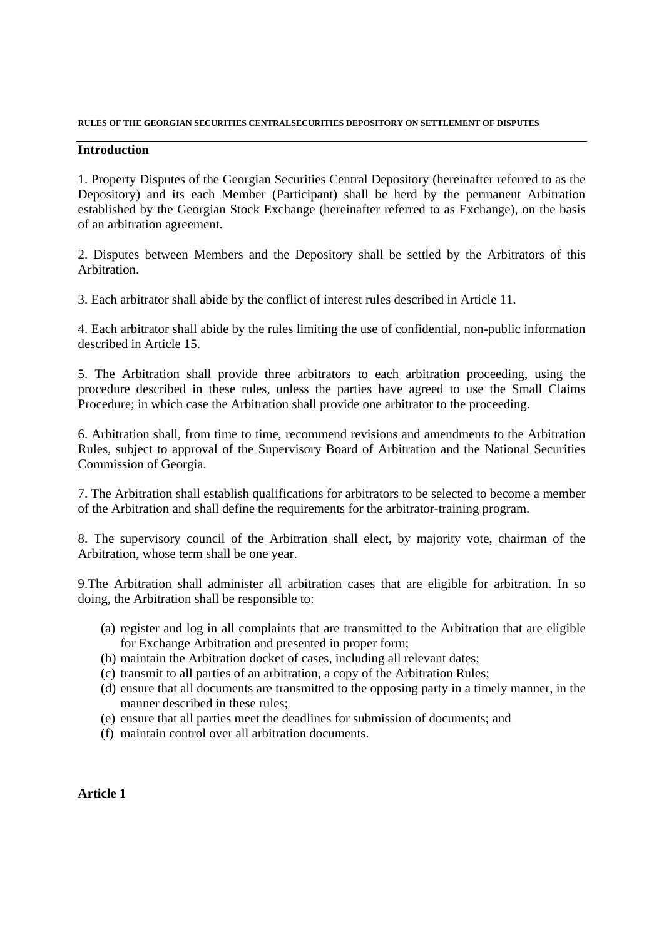#### **Introduction**

1. Property Disputes of the Georgian Securities Central Depository (hereinafter referred to as the Depository) and its each Member (Participant) shall be herd by the permanent Arbitration established by the Georgian Stock Exchange (hereinafter referred to as Exchange), on the basis of an arbitration agreement.

2. Disputes between Members and the Depository shall be settled by the Arbitrators of this Arbitration.

3. Each arbitrator shall abide by the conflict of interest rules described in Article 11.

4. Each arbitrator shall abide by the rules limiting the use of confidential, non-public information described in Article 15.

5. The Arbitration shall provide three arbitrators to each arbitration proceeding, using the procedure described in these rules, unless the parties have agreed to use the Small Claims Procedure; in which case the Arbitration shall provide one arbitrator to the proceeding.

6. Arbitration shall, from time to time, recommend revisions and amendments to the Arbitration Rules, subject to approval of the Supervisory Board of Arbitration and the National Securities Commission of Georgia.

7. The Arbitration shall establish qualifications for arbitrators to be selected to become a member of the Arbitration and shall define the requirements for the arbitrator-training program.

8. The supervisory council of the Arbitration shall elect, by majority vote, chairman of the Arbitration, whose term shall be one year.

9.The Arbitration shall administer all arbitration cases that are eligible for arbitration. In so doing, the Arbitration shall be responsible to:

- (a) register and log in all complaints that are transmitted to the Arbitration that are eligible for Exchange Arbitration and presented in proper form;
- (b) maintain the Arbitration docket of cases, including all relevant dates;
- (c) transmit to all parties of an arbitration, a copy of the Arbitration Rules;
- (d) ensure that all documents are transmitted to the opposing party in a timely manner, in the manner described in these rules;
- (e) ensure that all parties meet the deadlines for submission of documents; and
- (f) maintain control over all arbitration documents.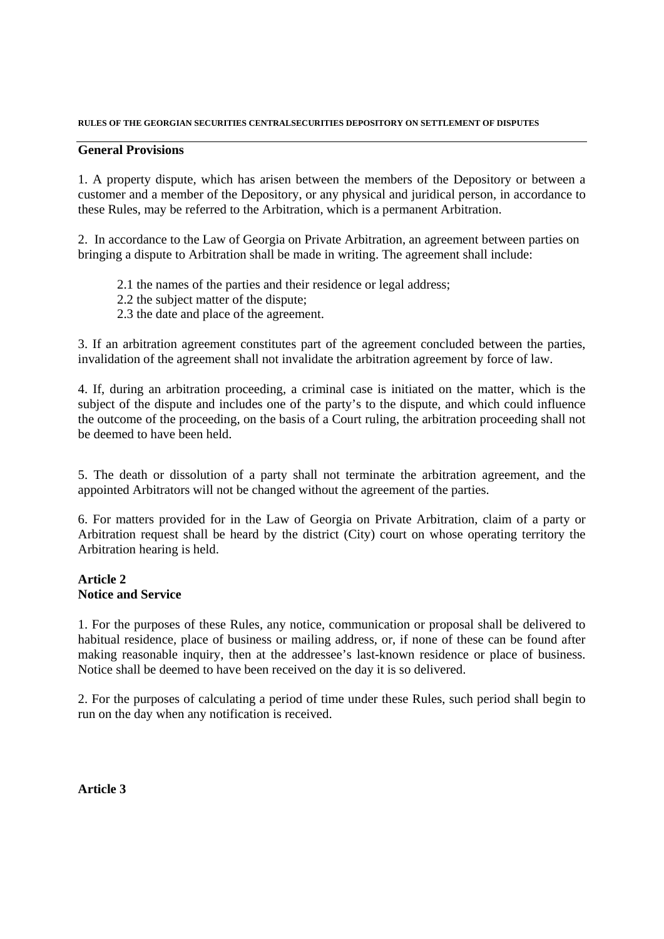### **General Provisions**

1. A property dispute, which has arisen between the members of the Depository or between a customer and a member of the Depository, or any physical and juridical person, in accordance to these Rules, may be referred to the Arbitration, which is a permanent Arbitration.

2. In accordance to the Law of Georgia on Private Arbitration, an agreement between parties on bringing a dispute to Arbitration shall be made in writing. The agreement shall include:

- 2.1 the names of the parties and their residence or legal address;
- 2.2 the subject matter of the dispute;
- 2.3 the date and place of the agreement.

3. If an arbitration agreement constitutes part of the agreement concluded between the parties, invalidation of the agreement shall not invalidate the arbitration agreement by force of law.

4. If, during an arbitration proceeding, a criminal case is initiated on the matter, which is the subject of the dispute and includes one of the party's to the dispute, and which could influence the outcome of the proceeding, on the basis of a Court ruling, the arbitration proceeding shall not be deemed to have been held.

5. The death or dissolution of a party shall not terminate the arbitration agreement, and the appointed Arbitrators will not be changed without the agreement of the parties.

6. For matters provided for in the Law of Georgia on Private Arbitration, claim of a party or Arbitration request shall be heard by the district (City) court on whose operating territory the Arbitration hearing is held.

### **Article 2 Notice and Service**

1. For the purposes of these Rules, any notice, communication or proposal shall be delivered to habitual residence, place of business or mailing address, or, if none of these can be found after making reasonable inquiry, then at the addressee's last-known residence or place of business. Notice shall be deemed to have been received on the day it is so delivered.

2. For the purposes of calculating a period of time under these Rules, such period shall begin to run on the day when any notification is received.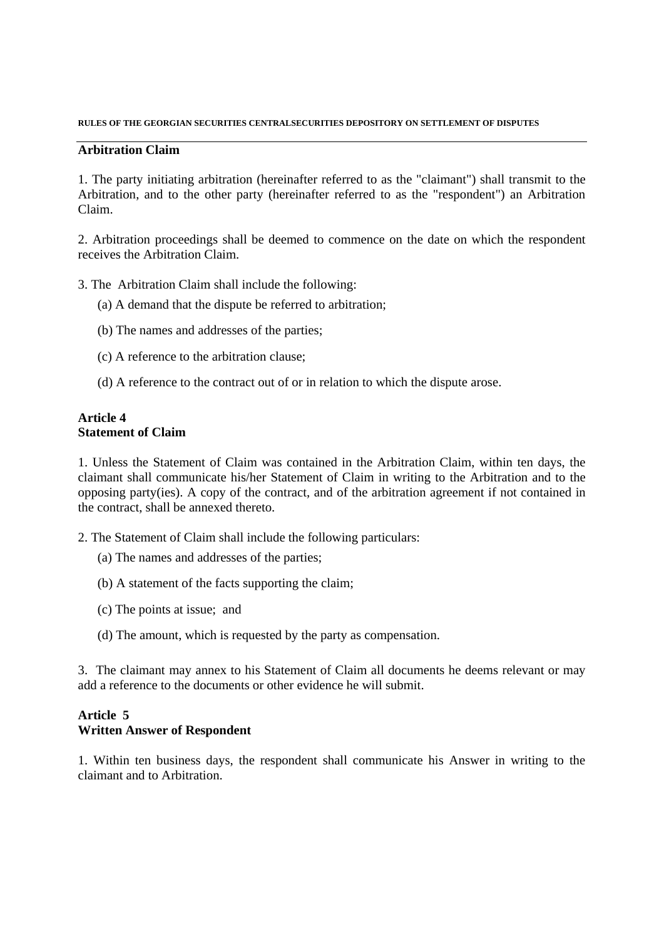### **Arbitration Claim**

1. The party initiating arbitration (hereinafter referred to as the "claimant") shall transmit to the Arbitration, and to the other party (hereinafter referred to as the "respondent") an Arbitration Claim.

2. Arbitration proceedings shall be deemed to commence on the date on which the respondent receives the Arbitration Claim.

- 3. The Arbitration Claim shall include the following:
	- (a) A demand that the dispute be referred to arbitration;
	- (b) The names and addresses of the parties;
	- (c) A reference to the arbitration clause;
	- (d) A reference to the contract out of or in relation to which the dispute arose.

### **Article 4 Statement of Claim**

1. Unless the Statement of Claim was contained in the Arbitration Claim, within ten days, the claimant shall communicate his/her Statement of Claim in writing to the Arbitration and to the opposing party(ies). A copy of the contract, and of the arbitration agreement if not contained in the contract, shall be annexed thereto.

- 2. The Statement of Claim shall include the following particulars:
	- (a) The names and addresses of the parties;
	- (b) A statement of the facts supporting the claim;
	- (c) The points at issue; and
	- (d) The amount, which is requested by the party as compensation.

3. The claimant may annex to his Statement of Claim all documents he deems relevant or may add a reference to the documents or other evidence he will submit.

### **Article 5 Written Answer of Respondent**

1. Within ten business days, the respondent shall communicate his Answer in writing to the claimant and to Arbitration.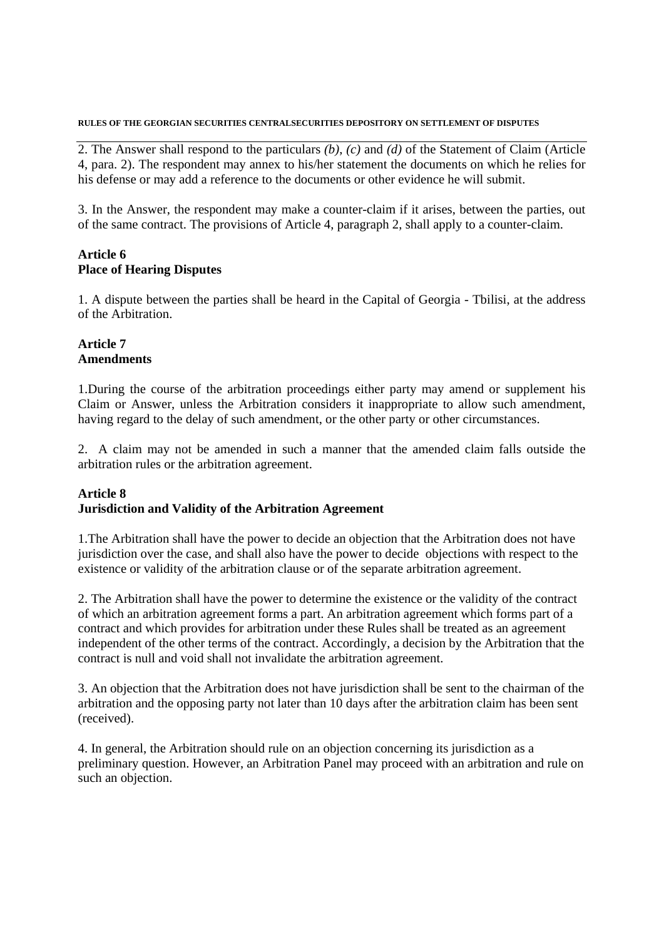2. The Answer shall respond to the particulars *(b)*, *(c)* and *(d)* of the Statement of Claim (Article 4, para. 2). The respondent may annex to his/her statement the documents on which he relies for his defense or may add a reference to the documents or other evidence he will submit.

3. In the Answer, the respondent may make a counter-claim if it arises, between the parties, out of the same contract. The provisions of Article 4, paragraph 2, shall apply to a counter-claim.

### **Article 6 Place of Hearing Disputes**

1. A dispute between the parties shall be heard in the Capital of Georgia - Tbilisi, at the address of the Arbitration.

### **Article 7 Amendments**

1.During the course of the arbitration proceedings either party may amend or supplement his Claim or Answer, unless the Arbitration considers it inappropriate to allow such amendment, having regard to the delay of such amendment, or the other party or other circumstances.

2. A claim may not be amended in such a manner that the amended claim falls outside the arbitration rules or the arbitration agreement.

### **Article 8 Jurisdiction and Validity of the Arbitration Agreement**

1.The Arbitration shall have the power to decide an objection that the Arbitration does not have jurisdiction over the case, and shall also have the power to decide objections with respect to the existence or validity of the arbitration clause or of the separate arbitration agreement.

2. The Arbitration shall have the power to determine the existence or the validity of the contract of which an arbitration agreement forms a part. An arbitration agreement which forms part of a contract and which provides for arbitration under these Rules shall be treated as an agreement independent of the other terms of the contract. Accordingly, a decision by the Arbitration that the contract is null and void shall not invalidate the arbitration agreement.

3. An objection that the Arbitration does not have jurisdiction shall be sent to the chairman of the arbitration and the opposing party not later than 10 days after the arbitration claim has been sent (received).

4. In general, the Arbitration should rule on an objection concerning its jurisdiction as a preliminary question. However, an Arbitration Panel may proceed with an arbitration and rule on such an objection.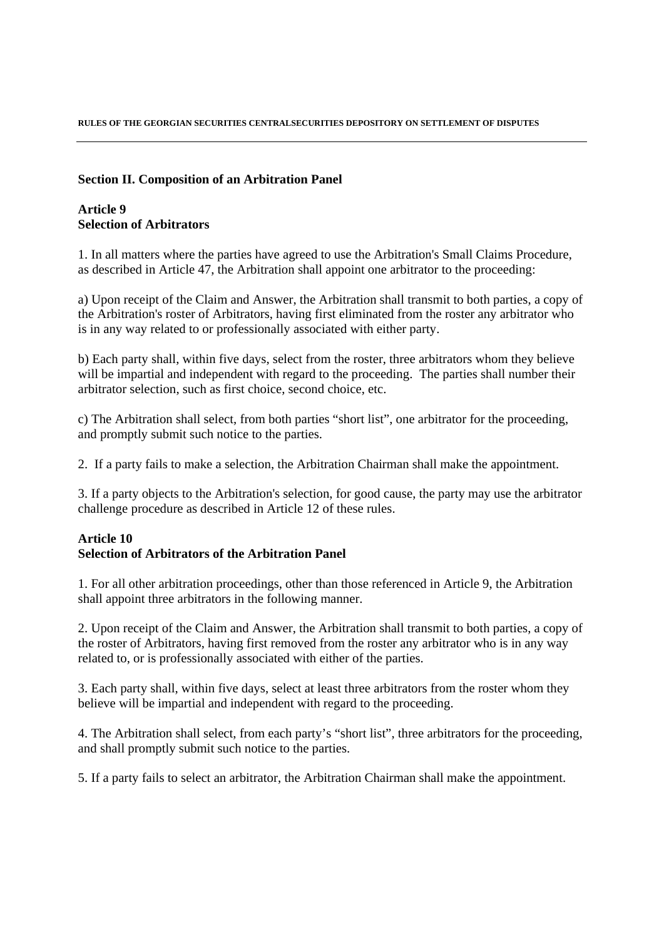### **Section II. Composition of an Arbitration Panel**

### **Article 9 Selection of Arbitrators**

1. In all matters where the parties have agreed to use the Arbitration's Small Claims Procedure, as described in Article 47, the Arbitration shall appoint one arbitrator to the proceeding:

a) Upon receipt of the Claim and Answer, the Arbitration shall transmit to both parties, a copy of the Arbitration's roster of Arbitrators, having first eliminated from the roster any arbitrator who is in any way related to or professionally associated with either party.

b) Each party shall, within five days, select from the roster, three arbitrators whom they believe will be impartial and independent with regard to the proceeding. The parties shall number their arbitrator selection, such as first choice, second choice, etc.

c) The Arbitration shall select, from both parties "short list", one arbitrator for the proceeding, and promptly submit such notice to the parties.

2. If a party fails to make a selection, the Arbitration Chairman shall make the appointment.

3. If a party objects to the Arbitration's selection, for good cause, the party may use the arbitrator challenge procedure as described in Article 12 of these rules.

### **Article 10 Selection of Arbitrators of the Arbitration Panel**

1. For all other arbitration proceedings, other than those referenced in Article 9, the Arbitration shall appoint three arbitrators in the following manner.

2. Upon receipt of the Claim and Answer, the Arbitration shall transmit to both parties, a copy of the roster of Arbitrators, having first removed from the roster any arbitrator who is in any way related to, or is professionally associated with either of the parties.

3. Each party shall, within five days, select at least three arbitrators from the roster whom they believe will be impartial and independent with regard to the proceeding.

4. The Arbitration shall select, from each party's "short list", three arbitrators for the proceeding, and shall promptly submit such notice to the parties.

5. If a party fails to select an arbitrator, the Arbitration Chairman shall make the appointment.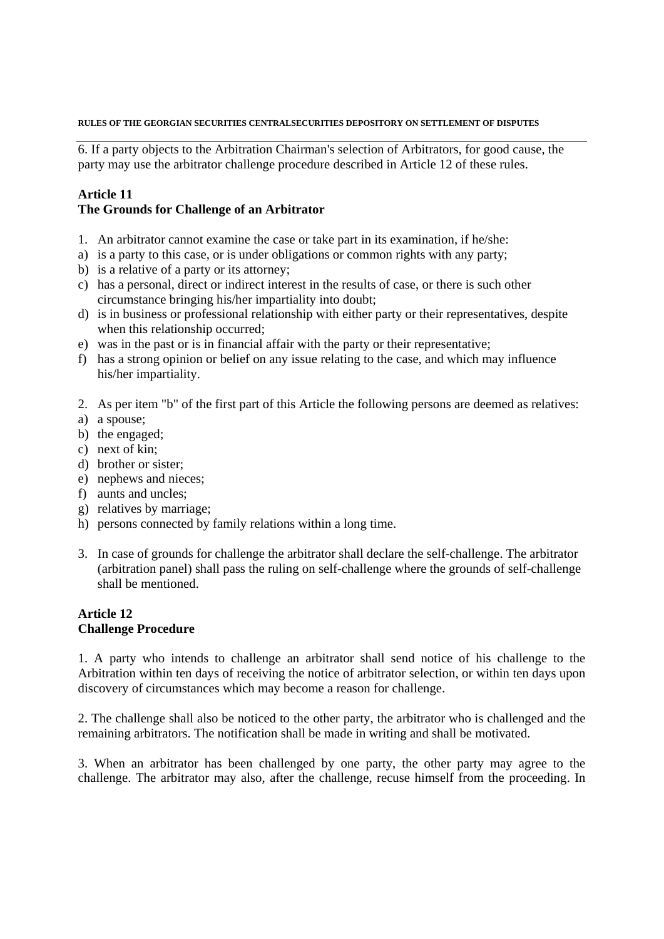6. If a party objects to the Arbitration Chairman's selection of Arbitrators, for good cause, the party may use the arbitrator challenge procedure described in Article 12 of these rules.

# **Article 11**

### **The Grounds for Challenge of an Arbitrator**

- 1. An arbitrator cannot examine the case or take part in its examination, if he/she:
- a) is a party to this case, or is under obligations or common rights with any party;
- b) is a relative of a party or its attorney;
- c) has a personal, direct or indirect interest in the results of case, or there is such other circumstance bringing his/her impartiality into doubt;
- d) is in business or professional relationship with either party or their representatives, despite when this relationship occurred;
- e) was in the past or is in financial affair with the party or their representative;
- f) has a strong opinion or belief on any issue relating to the case, and which may influence his/her impartiality.
- 2. As per item "b" of the first part of this Article the following persons are deemed as relatives:
- a) a spouse;
- b) the engaged;
- c) next of kin;
- d) brother or sister;
- e) nephews and nieces;
- f) aunts and uncles;
- g) relatives by marriage;
- h) persons connected by family relations within a long time.
- 3. In case of grounds for challenge the arbitrator shall declare the self-challenge. The arbitrator (arbitration panel) shall pass the ruling on self-challenge where the grounds of self-challenge shall be mentioned.

### **Article 12 Challenge Procedure**

1. A party who intends to challenge an arbitrator shall send notice of his challenge to the Arbitration within ten days of receiving the notice of arbitrator selection, or within ten days upon discovery of circumstances which may become a reason for challenge.

2. The challenge shall also be noticed to the other party, the arbitrator who is challenged and the remaining arbitrators. The notification shall be made in writing and shall be motivated.

3. When an arbitrator has been challenged by one party, the other party may agree to the challenge. The arbitrator may also, after the challenge, recuse himself from the proceeding. In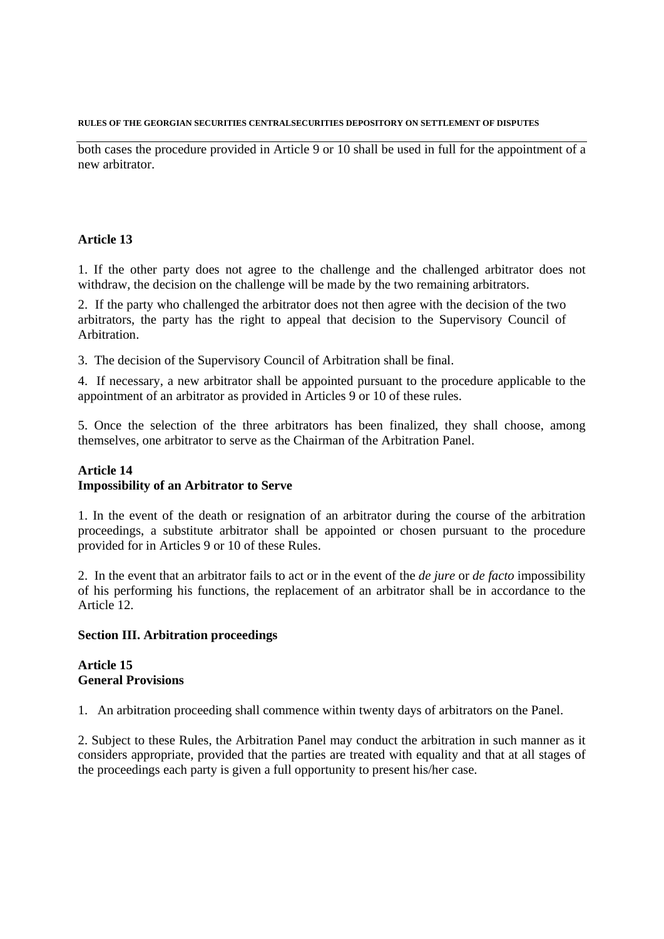both cases the procedure provided in Article 9 or 10 shall be used in full for the appointment of a new arbitrator.

### **Article 13**

1. If the other party does not agree to the challenge and the challenged arbitrator does not withdraw, the decision on the challenge will be made by the two remaining arbitrators.

2. If the party who challenged the arbitrator does not then agree with the decision of the two arbitrators, the party has the right to appeal that decision to the Supervisory Council of Arbitration.

3. The decision of the Supervisory Council of Arbitration shall be final.

4. If necessary, a new arbitrator shall be appointed pursuant to the procedure applicable to the appointment of an arbitrator as provided in Articles 9 or 10 of these rules.

5. Once the selection of the three arbitrators has been finalized, they shall choose, among themselves, one arbitrator to serve as the Chairman of the Arbitration Panel.

### **Article 14 Impossibility of an Arbitrator to Serve**

1. In the event of the death or resignation of an arbitrator during the course of the arbitration proceedings, a substitute arbitrator shall be appointed or chosen pursuant to the procedure provided for in Articles 9 or 10 of these Rules.

2. In the event that an arbitrator fails to act or in the event of the *de jure* or *de facto* impossibility of his performing his functions, the replacement of an arbitrator shall be in accordance to the Article 12.

### **Section III. Arbitration proceedings**

### **Article 15 General Provisions**

1. An arbitration proceeding shall commence within twenty days of arbitrators on the Panel.

2. Subject to these Rules, the Arbitration Panel may conduct the arbitration in such manner as it considers appropriate, provided that the parties are treated with equality and that at all stages of the proceedings each party is given a full opportunity to present his/her case.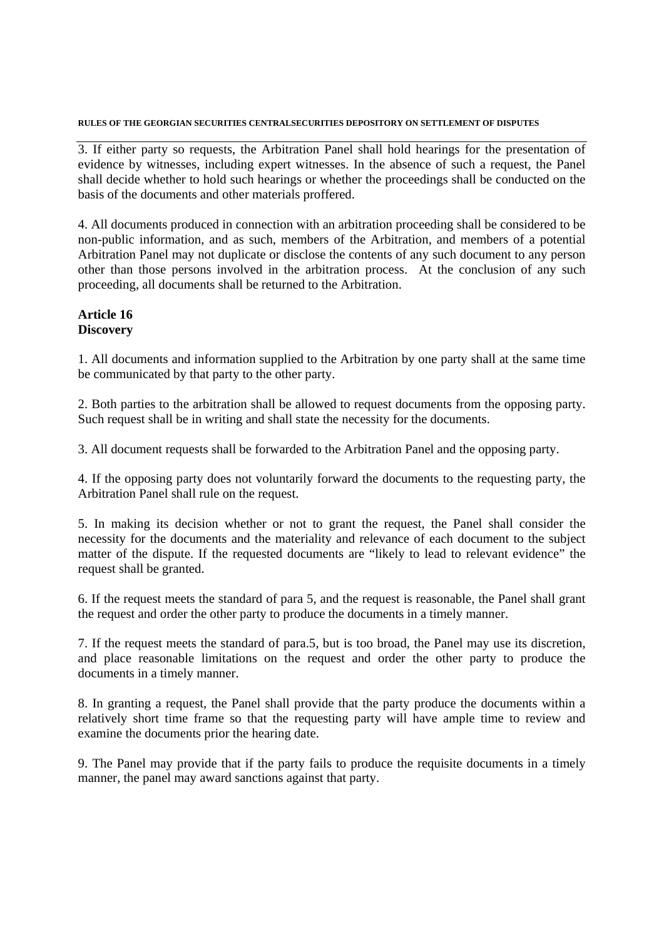3. If either party so requests, the Arbitration Panel shall hold hearings for the presentation of evidence by witnesses, including expert witnesses. In the absence of such a request, the Panel shall decide whether to hold such hearings or whether the proceedings shall be conducted on the basis of the documents and other materials proffered.

4. All documents produced in connection with an arbitration proceeding shall be considered to be non-public information, and as such, members of the Arbitration, and members of a potential Arbitration Panel may not duplicate or disclose the contents of any such document to any person other than those persons involved in the arbitration process. At the conclusion of any such proceeding, all documents shall be returned to the Arbitration.

### **Article 16 Discovery**

1. All documents and information supplied to the Arbitration by one party shall at the same time be communicated by that party to the other party.

2. Both parties to the arbitration shall be allowed to request documents from the opposing party. Such request shall be in writing and shall state the necessity for the documents.

3. All document requests shall be forwarded to the Arbitration Panel and the opposing party.

4. If the opposing party does not voluntarily forward the documents to the requesting party, the Arbitration Panel shall rule on the request.

5. In making its decision whether or not to grant the request, the Panel shall consider the necessity for the documents and the materiality and relevance of each document to the subject matter of the dispute. If the requested documents are "likely to lead to relevant evidence" the request shall be granted.

6. If the request meets the standard of para 5, and the request is reasonable, the Panel shall grant the request and order the other party to produce the documents in a timely manner.

7. If the request meets the standard of para.5, but is too broad, the Panel may use its discretion, and place reasonable limitations on the request and order the other party to produce the documents in a timely manner.

8. In granting a request, the Panel shall provide that the party produce the documents within a relatively short time frame so that the requesting party will have ample time to review and examine the documents prior the hearing date.

9. The Panel may provide that if the party fails to produce the requisite documents in a timely manner, the panel may award sanctions against that party.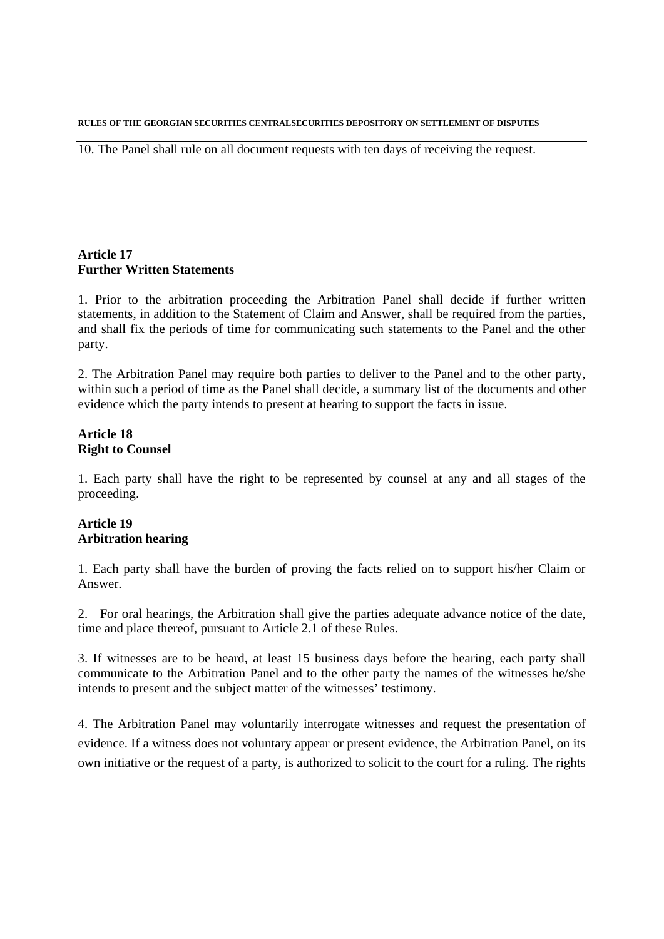10. The Panel shall rule on all document requests with ten days of receiving the request.

### **Article 17 Further Written Statements**

1. Prior to the arbitration proceeding the Arbitration Panel shall decide if further written statements, in addition to the Statement of Claim and Answer, shall be required from the parties, and shall fix the periods of time for communicating such statements to the Panel and the other party.

2. The Arbitration Panel may require both parties to deliver to the Panel and to the other party, within such a period of time as the Panel shall decide, a summary list of the documents and other evidence which the party intends to present at hearing to support the facts in issue.

### **Article 18 Right to Counsel**

1. Each party shall have the right to be represented by counsel at any and all stages of the proceeding.

### **Article 19 Arbitration hearing**

1. Each party shall have the burden of proving the facts relied on to support his/her Claim or Answer.

2. For oral hearings, the Arbitration shall give the parties adequate advance notice of the date, time and place thereof, pursuant to Article 2.1 of these Rules.

3. If witnesses are to be heard, at least 15 business days before the hearing, each party shall communicate to the Arbitration Panel and to the other party the names of the witnesses he/she intends to present and the subject matter of the witnesses' testimony.

4. The Arbitration Panel may voluntarily interrogate witnesses and request the presentation of evidence. If a witness does not voluntary appear or present evidence, the Arbitration Panel, on its own initiative or the request of a party, is authorized to solicit to the court for a ruling. The rights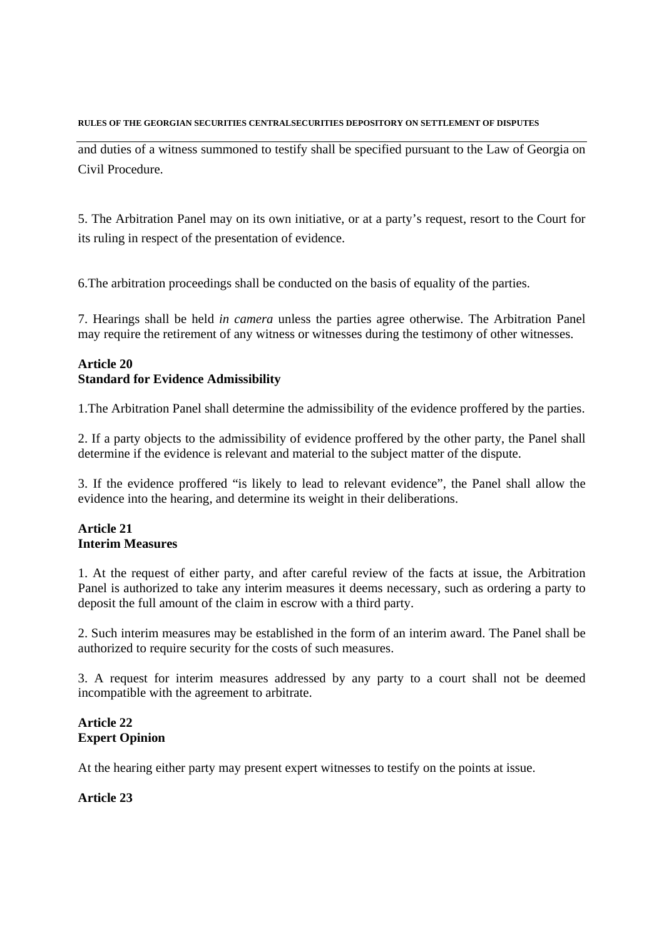and duties of a witness summoned to testify shall be specified pursuant to the Law of Georgia on Civil Procedure.

5. The Arbitration Panel may on its own initiative, or at a party's request, resort to the Court for its ruling in respect of the presentation of evidence.

6.The arbitration proceedings shall be conducted on the basis of equality of the parties.

7. Hearings shall be held *in camera* unless the parties agree otherwise. The Arbitration Panel may require the retirement of any witness or witnesses during the testimony of other witnesses.

## **Article 20 Standard for Evidence Admissibility**

1.The Arbitration Panel shall determine the admissibility of the evidence proffered by the parties.

2. If a party objects to the admissibility of evidence proffered by the other party, the Panel shall determine if the evidence is relevant and material to the subject matter of the dispute.

3. If the evidence proffered "is likely to lead to relevant evidence", the Panel shall allow the evidence into the hearing, and determine its weight in their deliberations.

# **Article 21 Interim Measures**

1. At the request of either party, and after careful review of the facts at issue, the Arbitration Panel is authorized to take any interim measures it deems necessary, such as ordering a party to deposit the full amount of the claim in escrow with a third party.

2. Such interim measures may be established in the form of an interim award. The Panel shall be authorized to require security for the costs of such measures.

3. A request for interim measures addressed by any party to a court shall not be deemed incompatible with the agreement to arbitrate.

# **Article 22 Expert Opinion**

At the hearing either party may present expert witnesses to testify on the points at issue.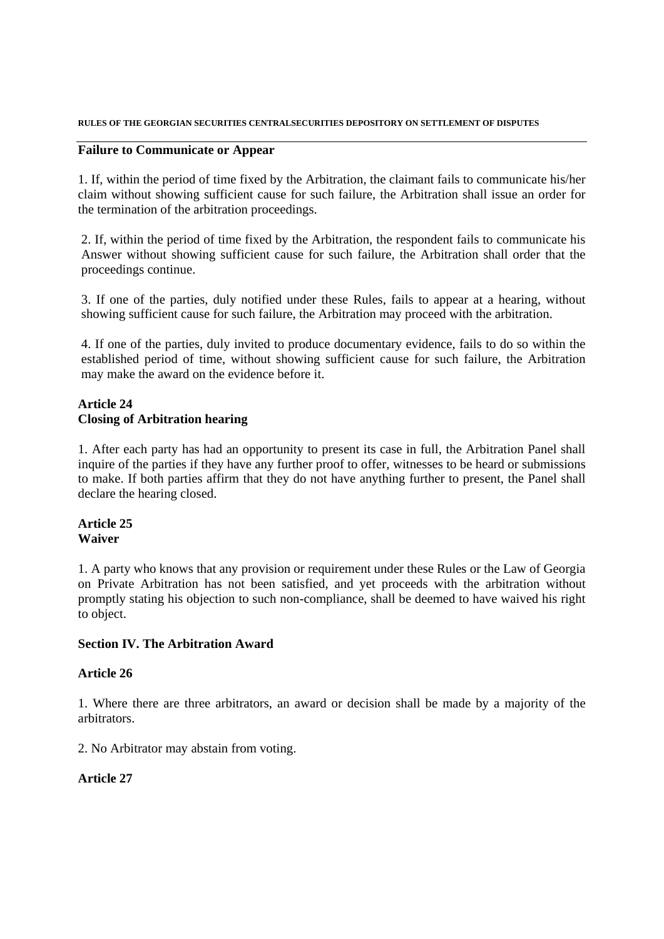### **Failure to Communicate or Appear**

1. If, within the period of time fixed by the Arbitration, the claimant fails to communicate his/her claim without showing sufficient cause for such failure, the Arbitration shall issue an order for the termination of the arbitration proceedings.

2. If, within the period of time fixed by the Arbitration, the respondent fails to communicate his Answer without showing sufficient cause for such failure, the Arbitration shall order that the proceedings continue.

3. If one of the parties, duly notified under these Rules, fails to appear at a hearing, without showing sufficient cause for such failure, the Arbitration may proceed with the arbitration.

4. If one of the parties, duly invited to produce documentary evidence, fails to do so within the established period of time, without showing sufficient cause for such failure, the Arbitration may make the award on the evidence before it.

### **Article 24 Closing of Arbitration hearing**

1. After each party has had an opportunity to present its case in full, the Arbitration Panel shall inquire of the parties if they have any further proof to offer, witnesses to be heard or submissions to make. If both parties affirm that they do not have anything further to present, the Panel shall declare the hearing closed.

### **Article 25 Waiver**

1. A party who knows that any provision or requirement under these Rules or the Law of Georgia on Private Arbitration has not been satisfied, and yet proceeds with the arbitration without promptly stating his objection to such non-compliance, shall be deemed to have waived his right to object.

### **Section IV. The Arbitration Award**

### **Article 26**

1. Where there are three arbitrators, an award or decision shall be made by a majority of the arbitrators.

2. No Arbitrator may abstain from voting.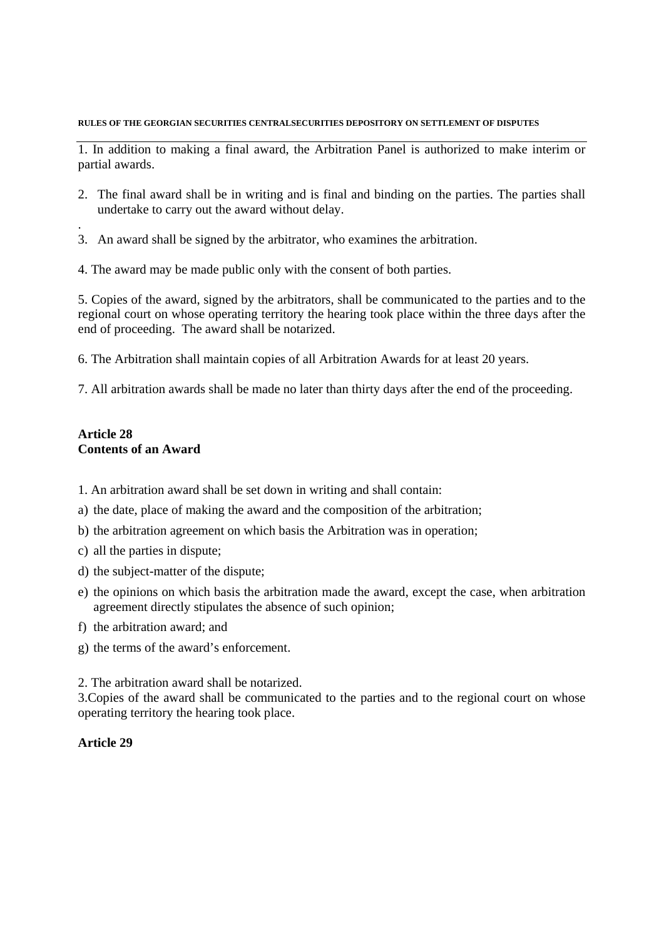1. In addition to making a final award, the Arbitration Panel is authorized to make interim or partial awards.

- 2. The final award shall be in writing and is final and binding on the parties. The parties shall undertake to carry out the award without delay.
- 3. An award shall be signed by the arbitrator, who examines the arbitration.
- 4. The award may be made public only with the consent of both parties.

5. Copies of the award, signed by the arbitrators, shall be communicated to the parties and to the regional court on whose operating territory the hearing took place within the three days after the end of proceeding. The award shall be notarized.

6. The Arbitration shall maintain copies of all Arbitration Awards for at least 20 years.

7. All arbitration awards shall be made no later than thirty days after the end of the proceeding.

### **Article 28 Contents of an Award**

.

- 1. An arbitration award shall be set down in writing and shall contain:
- a) the date, place of making the award and the composition of the arbitration;
- b) the arbitration agreement on which basis the Arbitration was in operation;
- c) all the parties in dispute;
- d) the subject-matter of the dispute;
- e) the opinions on which basis the arbitration made the award, except the case, when arbitration agreement directly stipulates the absence of such opinion;
- f) the arbitration award; and
- g) the terms of the award's enforcement.

2. The arbitration award shall be notarized.

3.Copies of the award shall be communicated to the parties and to the regional court on whose operating territory the hearing took place.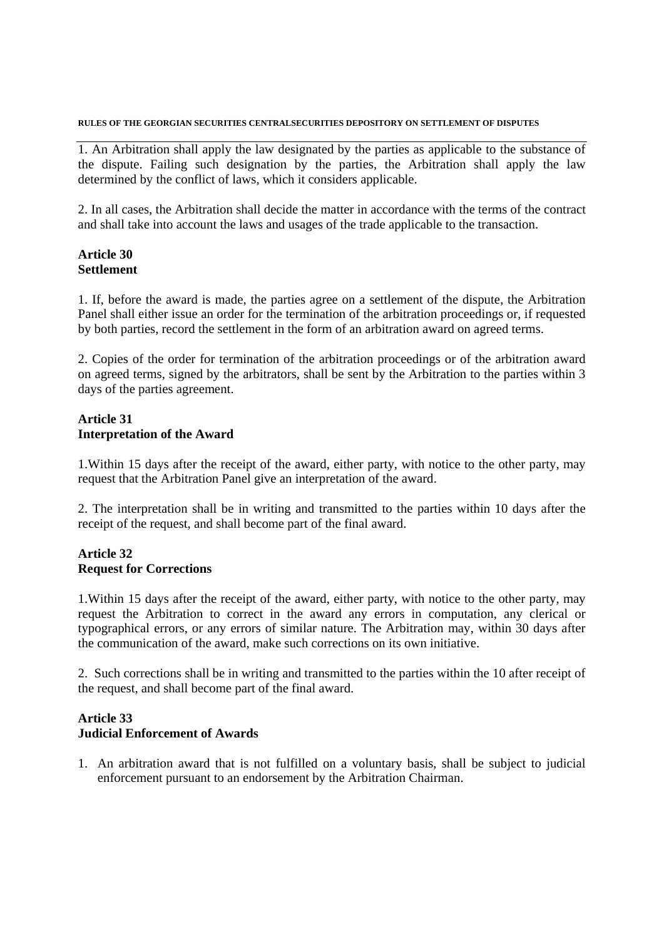1. An Arbitration shall apply the law designated by the parties as applicable to the substance of the dispute. Failing such designation by the parties, the Arbitration shall apply the law determined by the conflict of laws, which it considers applicable.

2. In all cases, the Arbitration shall decide the matter in accordance with the terms of the contract and shall take into account the laws and usages of the trade applicable to the transaction.

### **Article 30 Settlement**

1. If, before the award is made, the parties agree on a settlement of the dispute, the Arbitration Panel shall either issue an order for the termination of the arbitration proceedings or, if requested by both parties, record the settlement in the form of an arbitration award on agreed terms.

2. Copies of the order for termination of the arbitration proceedings or of the arbitration award on agreed terms, signed by the arbitrators, shall be sent by the Arbitration to the parties within 3 days of the parties agreement.

### **Article 31 Interpretation of the Award**

1.Within 15 days after the receipt of the award, either party, with notice to the other party, may request that the Arbitration Panel give an interpretation of the award.

2. The interpretation shall be in writing and transmitted to the parties within 10 days after the receipt of the request, and shall become part of the final award.

### **Article 32 Request for Corrections**

1.Within 15 days after the receipt of the award, either party, with notice to the other party, may request the Arbitration to correct in the award any errors in computation, any clerical or typographical errors, or any errors of similar nature. The Arbitration may, within 30 days after the communication of the award, make such corrections on its own initiative.

2. Such corrections shall be in writing and transmitted to the parties within the 10 after receipt of the request, and shall become part of the final award.

### **Article 33 Judicial Enforcement of Awards**

1. An arbitration award that is not fulfilled on a voluntary basis, shall be subject to judicial enforcement pursuant to an endorsement by the Arbitration Chairman.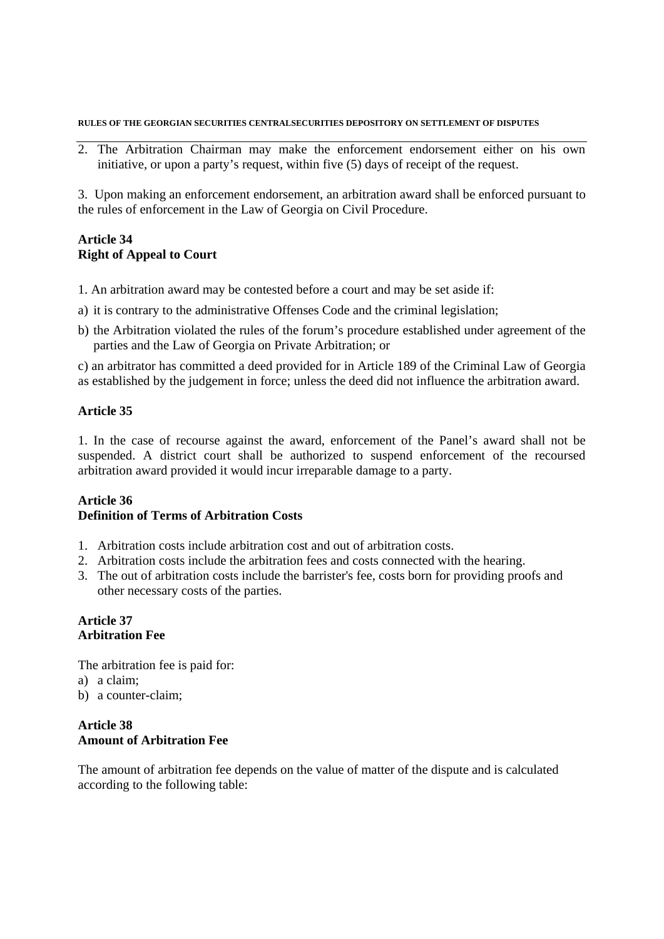2. The Arbitration Chairman may make the enforcement endorsement either on his own initiative, or upon a party's request, within five (5) days of receipt of the request.

3. Upon making an enforcement endorsement, an arbitration award shall be enforced pursuant to the rules of enforcement in the Law of Georgia on Civil Procedure.

## **Article 34 Right of Appeal to Court**

- 1. An arbitration award may be contested before a court and may be set aside if:
- a) it is contrary to the administrative Offenses Code and the criminal legislation;
- b) the Arbitration violated the rules of the forum's procedure established under agreement of the parties and the Law of Georgia on Private Arbitration; or

c) an arbitrator has committed a deed provided for in Article 189 of the Criminal Law of Georgia as established by the judgement in force; unless the deed did not influence the arbitration award.

### **Article 35**

1. In the case of recourse against the award, enforcement of the Panel's award shall not be suspended. A district court shall be authorized to suspend enforcement of the recoursed arbitration award provided it would incur irreparable damage to a party.

### **Article 36 Definition of Terms of Arbitration Costs**

- 1. Arbitration costs include arbitration cost and out of arbitration costs.
- 2. Arbitration costs include the arbitration fees and costs connected with the hearing.
- 3. The out of arbitration costs include the barrister's fee, costs born for providing proofs and other necessary costs of the parties.

# **Article 37 Arbitration Fee**

The arbitration fee is paid for: a) a claim; b) a counter-claim;

### **Article 38 Amount of Arbitration Fee**

The amount of arbitration fee depends on the value of matter of the dispute and is calculated according to the following table: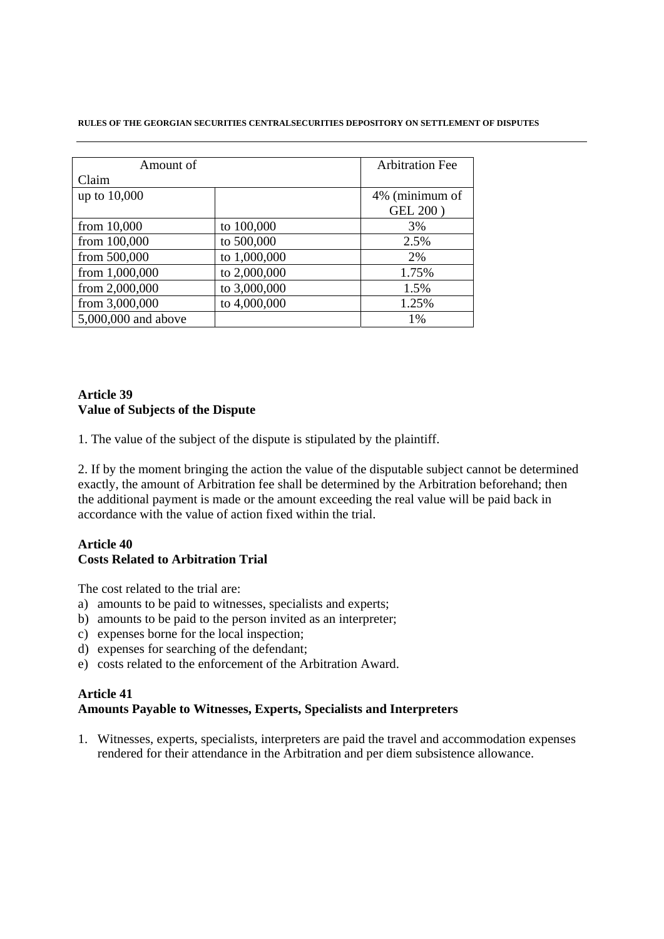| Amount of           |              | <b>Arbitration Fee</b> |
|---------------------|--------------|------------------------|
| Claim               |              |                        |
| up to 10,000        |              | 4% (minimum of         |
|                     |              | <b>GEL 200)</b>        |
| from $10,000$       | to 100,000   | 3%                     |
| from 100,000        | to 500,000   | 2.5%                   |
| from 500,000        | to 1,000,000 | 2%                     |
| from 1,000,000      | to 2,000,000 | 1.75%                  |
| from 2,000,000      | to 3,000,000 | 1.5%                   |
| from 3,000,000      | to 4,000,000 | 1.25%                  |
| 5,000,000 and above |              | 1%                     |

# **Article 39 Value of Subjects of the Dispute**

1. The value of the subject of the dispute is stipulated by the plaintiff.

2. If by the moment bringing the action the value of the disputable subject cannot be determined exactly, the amount of Arbitration fee shall be determined by the Arbitration beforehand; then the additional payment is made or the amount exceeding the real value will be paid back in accordance with the value of action fixed within the trial.

### **Article 40 Costs Related to Arbitration Trial**

The cost related to the trial are:

- a) amounts to be paid to witnesses, specialists and experts;
- b) amounts to be paid to the person invited as an interpreter;
- c) expenses borne for the local inspection;
- d) expenses for searching of the defendant;
- e) costs related to the enforcement of the Arbitration Award.

### **Article 41 Amounts Payable to Witnesses, Experts, Specialists and Interpreters**

1. Witnesses, experts, specialists, interpreters are paid the travel and accommodation expenses rendered for their attendance in the Arbitration and per diem subsistence allowance.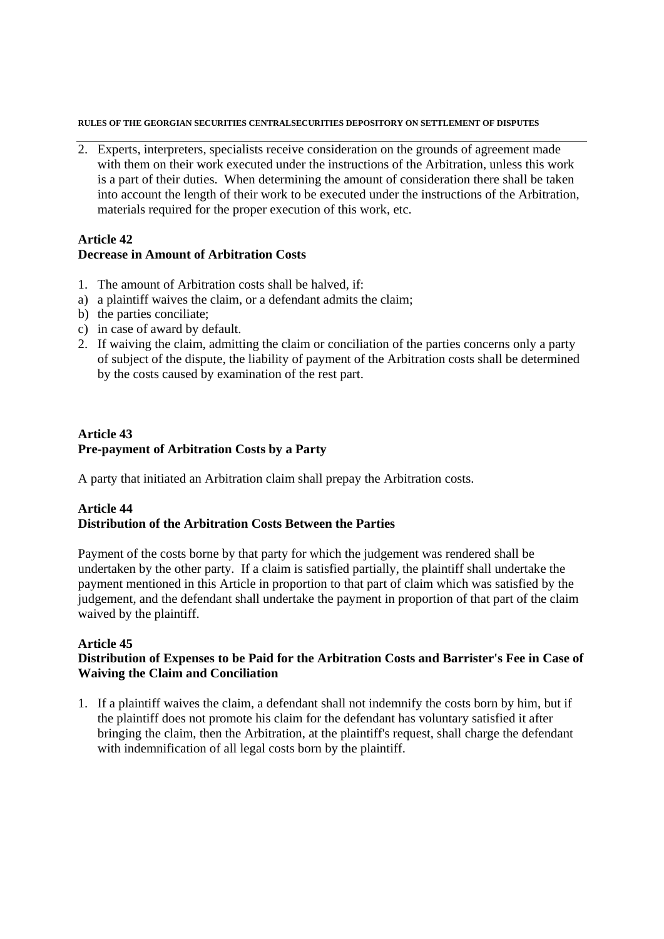2. Experts, interpreters, specialists receive consideration on the grounds of agreement made with them on their work executed under the instructions of the Arbitration, unless this work is a part of their duties. When determining the amount of consideration there shall be taken into account the length of their work to be executed under the instructions of the Arbitration, materials required for the proper execution of this work, etc.

#### **Article 42 Decrease in Amount of Arbitration Costs**

- 1. The amount of Arbitration costs shall be halved, if:
- a) a plaintiff waives the claim, or a defendant admits the claim;
- b) the parties conciliate;
- c) in case of award by default.
- 2. If waiving the claim, admitting the claim or conciliation of the parties concerns only a party of subject of the dispute, the liability of payment of the Arbitration costs shall be determined by the costs caused by examination of the rest part.

## **Article 43 Pre-payment of Arbitration Costs by a Party**

A party that initiated an Arbitration claim shall prepay the Arbitration costs.

# **Article 44 Distribution of the Arbitration Costs Between the Parties**

Payment of the costs borne by that party for which the judgement was rendered shall be undertaken by the other party. If a claim is satisfied partially, the plaintiff shall undertake the payment mentioned in this Article in proportion to that part of claim which was satisfied by the judgement, and the defendant shall undertake the payment in proportion of that part of the claim waived by the plaintiff.

# **Article 45**

# **Distribution of Expenses to be Paid for the Arbitration Costs and Barrister's Fee in Case of Waiving the Claim and Conciliation**

1. If a plaintiff waives the claim, a defendant shall not indemnify the costs born by him, but if the plaintiff does not promote his claim for the defendant has voluntary satisfied it after bringing the claim, then the Arbitration, at the plaintiff's request, shall charge the defendant with indemnification of all legal costs born by the plaintiff.